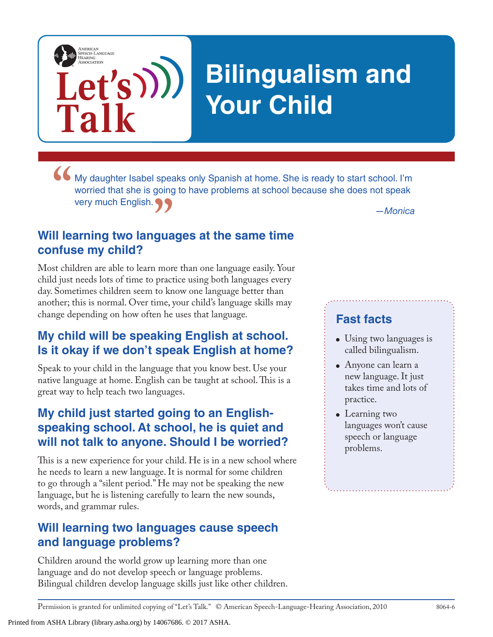

**"** My daughter Isabel speaks only Spanish at home. She is ready to start school. I'm worried that she is going to have problems at school because she does not speak very much English.

# **The** *Monica*<br>guages at the same time **Will learning two languages at the same time confuse my child?**

**Let's**

**Talk**

AMERICAN<br>SPEECH-LANGUAGE-<br>HEARING<br>ASSOCIATION

Most children are able to learn more than one language easily. Your child just needs lots of time to practice using both languages every day. Sometimes children seem to know one language better than another; this is normal. Over time, your child's language skills may change depending on how often he uses that language.

### **My child will be speaking English at school. Is it okay if we don't speak English at home?**

Speak to your child in the language that you know best. Use your native language at home. English can be taught at school. This is a great way to help teach two languages.

## **My child just started going to an Englishspeaking school. At school, he is quiet and will not talk to anyone. Should I be worried?**

This is a new experience for your child. He is in a new school where he needs to learn a new language. It is normal for some children to go through a "silent period." He may not be speaking the new language, but he is listening carefully to learn the new sounds, words, and grammar rules.

#### **Will learning two languages cause speech and language problems?**

Children around the world grow up learning more than one language and do not develop speech or language problems. Bilingual children develop language skills just like other children.

#### **Fast facts**

- Using two languages is called bilingualism.
- Anyone can learn a new language. It just takes time and lots of practice.
- Learning two languages won't cause speech or language problems.